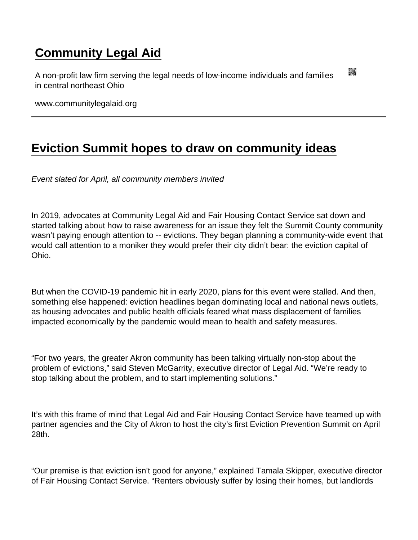## [Community Legal Aid](https://www.communitylegalaid.org/)

A non-profit law firm serving the legal needs of low-income individuals and families in central northeast Ohio

www.communitylegalaid.org

## [Eviction Summit hopes to draw on community ideas](https://www.communitylegalaid.org/node/1705/eviction-summit-hopes-draw-community-ideas)

Event slated for April, all community members invited

In 2019, advocates at Community Legal Aid and Fair Housing Contact Service sat down and started talking about how to raise awareness for an issue they felt the Summit County community wasn't paying enough attention to -- evictions. They began planning a community-wide event that would call attention to a moniker they would prefer their city didn't bear: the eviction capital of Ohio.

But when the COVID-19 pandemic hit in early 2020, plans for this event were stalled. And then, something else happened: eviction headlines began dominating local and national news outlets, as housing advocates and public health officials feared what mass displacement of families impacted economically by the pandemic would mean to health and safety measures.

"For two years, the greater Akron community has been talking virtually non-stop about the problem of evictions," said Steven McGarrity, executive director of Legal Aid. "We're ready to stop talking about the problem, and to start implementing solutions."

It's with this frame of mind that Legal Aid and Fair Housing Contact Service have teamed up with partner agencies and the City of Akron to host the city's first Eviction Prevention Summit on April 28th.

"Our premise is that eviction isn't good for anyone," explained Tamala Skipper, executive director of Fair Housing Contact Service. "Renters obviously suffer by losing their homes, but landlords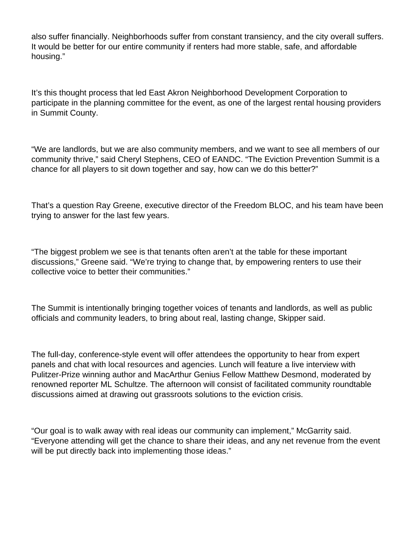also suffer financially. Neighborhoods suffer from constant transiency, and the city overall suffers. It would be better for our entire community if renters had more stable, safe, and affordable housing."

It's this thought process that led East Akron Neighborhood Development Corporation to participate in the planning committee for the event, as one of the largest rental housing providers in Summit County.

"We are landlords, but we are also community members, and we want to see all members of our community thrive," said Cheryl Stephens, CEO of EANDC. "The Eviction Prevention Summit is a chance for all players to sit down together and say, how can we do this better?"

That's a question Ray Greene, executive director of the Freedom BLOC, and his team have been trying to answer for the last few years.

"The biggest problem we see is that tenants often aren't at the table for these important discussions," Greene said. "We're trying to change that, by empowering renters to use their collective voice to better their communities."

The Summit is intentionally bringing together voices of tenants and landlords, as well as public officials and community leaders, to bring about real, lasting change, Skipper said.

The full-day, conference-style event will offer attendees the opportunity to hear from expert panels and chat with local resources and agencies. Lunch will feature a live interview with Pulitzer-Prize winning author and MacArthur Genius Fellow Matthew Desmond, moderated by renowned reporter ML Schultze. The afternoon will consist of facilitated community roundtable discussions aimed at drawing out grassroots solutions to the eviction crisis.

"Our goal is to walk away with real ideas our community can implement," McGarrity said. "Everyone attending will get the chance to share their ideas, and any net revenue from the event will be put directly back into implementing those ideas."